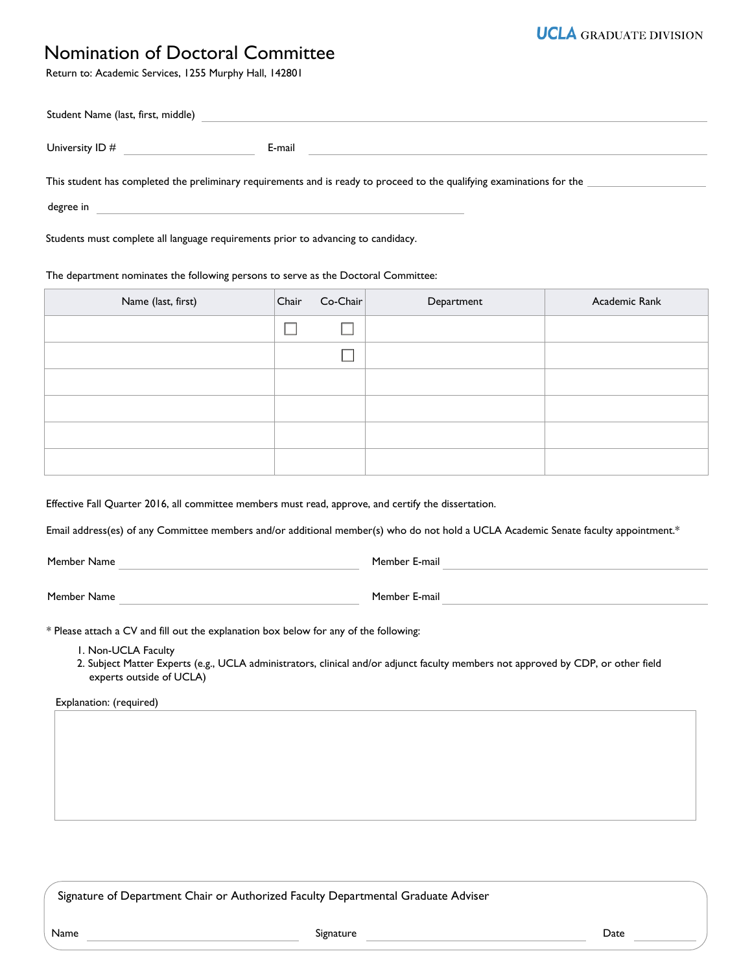## Nomination of Doctoral Committee

Return to: Academic Services, 1255 Murphy Hall, 142801

| Student Name (last, first, middle) |                                                                                                                        |
|------------------------------------|------------------------------------------------------------------------------------------------------------------------|
| University ID #                    | E-mail                                                                                                                 |
|                                    | This student has completed the preliminary requirements and is ready to proceed to the qualifying examinations for the |
| degree in                          |                                                                                                                        |

Students must complete all language requirements prior to advancing to candidacy.

## The department nominates the following persons to serve as the Doctoral Committee:

| Name (last, first) | Chair | $Co-Chair$ | Department | Academic Rank |
|--------------------|-------|------------|------------|---------------|
|                    |       |            |            |               |
|                    |       |            |            |               |
|                    |       |            |            |               |
|                    |       |            |            |               |
|                    |       |            |            |               |
|                    |       |            |            |               |

Effective Fall Quarter 2016, all committee members must read, approve, and certify the dissertation.

Email address(es) of any Committee members and/or additional member(s) who do not hold a UCLA Academic Senate faculty appointment.\*

Member Name **Member E-mail** 

Member Name **Member E-mail** 

\* Please attach a CV and fill out the explanation box below for any of the following:

1. Non-UCLA Faculty

2. Subject Matter Experts (e.g., UCLA administrators, clinical and/or adjunct faculty members not approved by CDP, or other field experts outside of UCLA)

Explanation: (required)

Signature of Department Chair or Authorized Faculty Departmental Graduate Adviser